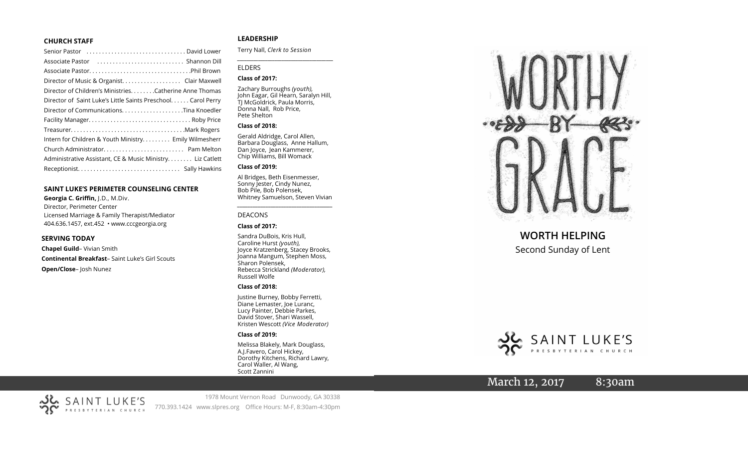#### **CHURCH STAFF**

| Senior Pastor (all contains and contained a senior Pastor contains) |
|---------------------------------------------------------------------|
|                                                                     |
|                                                                     |
|                                                                     |
| Director of Children's MinistriesCatherine Anne Thomas              |
| Director of Saint Luke's Little Saints Preschool. Carol Perry       |
|                                                                     |
|                                                                     |
|                                                                     |
| Intern for Children & Youth Ministry Emily Wilmesherr               |
|                                                                     |
| Administrative Assistant, CE & Music Ministry Liz Catlett           |
|                                                                     |
|                                                                     |

#### **SAINT LUKE 'S PERIMETER COUNSELING CENTER**

**Georgia C. Griffin,** J.D., M.Div. Director, Perimeter Center Licensed Marriage & Family Therapist/Mediator 404.636.1457, ext.452 • www.cccgeorgia.org

#### **SERVING TODAY**

**Chapel Guild** – Vivian Smith **Continental Breakfast** – Saint Luke 's Girl Scouts **Open/Close** – Josh Nunez

### **LEADERSHIP**

Terry Nall, *Clerk to Session*

#### ELDERS

#### **Class of 2017:**

Zachary Burroughs *(youth),*  John Eagar, Gil Hearn, Saralyn Hill, TJ McGoldrick, Paula Morris, Donna Nall, Rob Price, Pete Shelton

*\_\_\_\_\_\_\_\_\_\_\_\_\_\_\_\_\_\_\_\_\_\_\_\_\_\_\_\_\_\_\_\_\_\_\_\_\_\_\_\_\_*

#### **Class of 2018:**

Gerald Aldridge, Carol Allen, Barbara Douglass, Anne Hallum, Dan Joyce, Jean Kammerer, Chip Williams, Bill Womack

#### **Class of 2019:**

Al Bridges, Beth Eisenmesser, Sonny Jester, Cindy Nunez, Bob Pile, Bob Polensek, Whitney Samuelson, Steven Vivian

*\_\_\_\_\_\_\_\_\_\_\_\_\_\_\_\_\_\_\_\_\_\_\_\_\_\_\_\_\_\_\_\_\_\_\_\_\_*

#### DEACONS

#### **Class of 2017:**

Sandra DuBois, Kris Hull, Caroline Hurst *(youth),* Joyce Kratzenberg, Stacey Brooks, Joanna Mangum, Stephen Moss, Sharon Polensek, Rebecca Strickland *(Moderator),*  Russell Wolfe

#### **Class of 2018:**

Justine Burney, Bobby Ferretti, Diane Lemaster, Joe Luranc, Lucy Painter, Debbie Parkes, David Stover, Shari Wassell, Kristen Wescott *(Vice Moderator)*

#### **Class of 2019:**

Melissa Blakely, Mark Douglass, A.J.Favero, Carol Hickey, Dorothy Kitchens, Richard Lawry, Carol Waller, Al Wang, Scott Zannini



# **WORTH HELPING**

Second Sunday of Lent



# March 12, 2017 8:30am



1978 Mount Vernon Road Dunwoody, GA 30338 770.393.1424 www.slpres.org Office Hours: M -F, 8:30am -4:30pm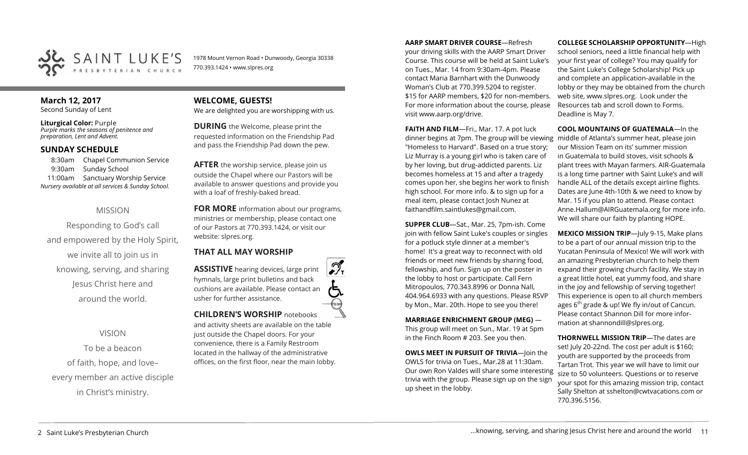

1978 Mount Vernon Road • Dunwoody, Georgia 30338 770.393.1424 • www.slpres.org

# **March 12, 2017**

Second Sunday of Lent

**Liturgical Color:** Purple *Purple marks the seasons of penitence and preparation, Lent and Advent.*

### **SUNDAY SCHEDULE**

8:30am Chapel Communion Service 9:30am Sunday School 11:00am Sanctuary Worship Service *Nursery available at all services & Sunday School.* 

# MISSION

Responding to God's call and empowered by the Holy Spirit, we invite all to join us in knowing, serving, and sharing Jesus Christ here and around the world.

VISION

To be a beacon of faith, hope, and love– every member an active disciple in Christ's ministry.

## **WELCOME, GUESTS!**  We are delighted you are worshipping with us.

**DURING** the Welcome, please print the requested information on the Friendship Pad and pass the Friendship Pad down the pew.

**AFTER** the worship service, please join us outside the Chapel where our Pastors will be available to answer questions and provide you with a loaf of freshly-baked bread.

**FOR MORE** information about our programs, ministries or membership, please contact one of our Pastors at 770.393.1424, or visit our website: slpres.org.

# **THAT ALL MAY WORSHIP**

**ASSISTIVE** hearing devices, large print hymnals, large print bulletins and back cushions are available. Please contact an usher for further assistance. **CHILDREN'S WORSHIP** notebooks

and activity sheets are available on the table just outside the Chapel doors. For your convenience, there is a Family Restroom located in the hallway of the administrative offices, on the first floor, near the main lobby.

#### **AARP SMART DRIVER COURSE**—Refresh

your driving skills with the AARP Smart Driver Course. This course will be held at Saint Luke's on Tues., Mar. 14 from 9:30am-4pm. Please contact Maria Barnhart with the Dunwoody Woman's Club at 770.399.5204 to register. \$15 for AARP members, \$20 for non-members. For more information about the course, please visit www.aarp.org/drive.

**FAITH AND FILM**—Fri., Mar. 17. A pot luck dinner begins at 7pm. The group will be viewing middle of Atlanta's summer heat, please join "Homeless to Harvard". Based on a true story; Liz Murray is a young girl who is taken care of by her loving, but drug-addicted parents. Liz becomes homeless at 15 and after a tragedy comes upon her, she begins her work to finish high school. For more info. & to sign up for a meal item, please contact Josh Nunez at [faithandfilm.saintlukes@gmail.com.](mailto:faithandfilm.saintlukes@gmail.com)

**SUPPER CLUB**—Sat., Mar. 25, 7pm-ish. Come join with fellow Saint Luke's couples or singles for a potluck style dinner at a member's home! It's a great way to reconnect with old friends or meet new friends by sharing food, fellowship, and fun. Sign up on the poster in the lobby to host or participate. Call Fern Mitropoulos, 770.343.8996 or Donna Nall, 404.964.6933 with any questions. Please RSVP by Mon., Mar. 20th. Hope to see you there!

**MARRIAGE ENRICHMENT GROUP (MEG)** — This group will meet on Sun., Mar. 19 at 5pm in the Finch Room # 203. See you then.

**OWLS MEET IN PURSUIT OF TRIVIA**—loin the OWLS for trivia on Tues., Mar.28 at 11:30am. Our own Ron Valdes will share some interesting trivia with the group. Please sign up on the sign up sheet in the lobby.

**COLLEGE SCHOLARSHIP OPPORTUNITY**—High school seniors, need a little financial help with

your first year of college? You may qualify for the Saint Luke's College Scholarship! Pick up and complete an application-available in the lobby or they may be obtained from the church web site, www.slpres.org. Look under the Resources tab and scroll down to Forms. Deadline is May 7.

**COOL MOUNTAINS OF GUATEMALA**—In the our Mission Team on its' summer mission in Guatemala to build stoves, visit schools & plant trees with Mayan farmers. AIR-Guatemala is a long time partner with Saint Luke's and will handle ALL of the details except airline flights. Dates are June 4th-10th & we need to know by Mar. 15 if you plan to attend. Please contact Anne.Hallum@AIRGuatemala.org for more info. We will share our faith by planting HOPE.

**MEXICO MISSION TRIP**—July 9-15, Make plans to be a part of our annual mission trip to the Yucatan Peninsula of Mexico! We will work with an amazing Presbyterian church to help them expand their growing church facility. We stay in a great little hotel, eat yummy food, and share in the joy and fellowship of serving together! This experience is open to all church members ages  $6<sup>th</sup>$  grade & up! We fly in/out of Cancun. Please contact Shannon Dill for more information at shannondill@slpres.org.

**THORNWELL MISSION TRIP**—The dates are set! July 20-22nd. The cost per adult is \$160; youth are supported by the proceeds from Tartan Trot. This year we will have to limit our size to 50 volunteers. Questions or to reserve your spot for this amazing mission trip, contact Sally Shelton at sshelton@cwtvacations.com or 770.396.5156.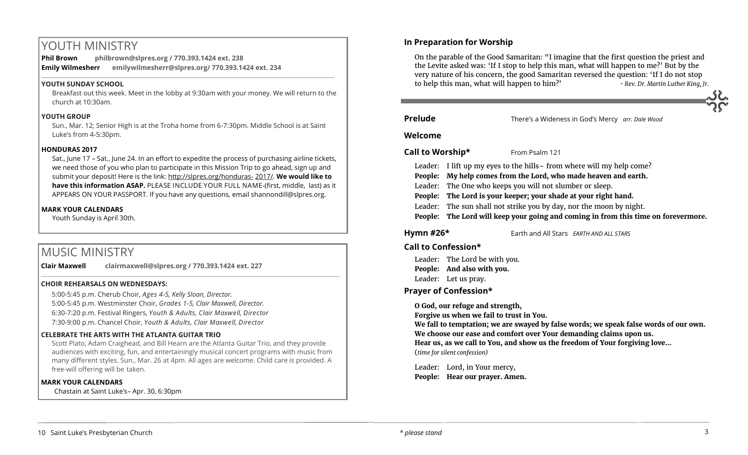# YOUTH MINISTRY

**Phil Brown philbrown@slpres.org / 770.393.1424 ext. 238 Emily Wilmesherr emilywilmesherr@slpres.org/ 770.393.1424 ext. 234**   $\_$  ,  $\_$  ,  $\_$  ,  $\_$  ,  $\_$  ,  $\_$  ,  $\_$  ,  $\_$  ,  $\_$  ,  $\_$  ,  $\_$  ,  $\_$  ,  $\_$  ,  $\_$  ,  $\_$  ,  $\_$  ,  $\_$  ,  $\_$  ,  $\_$  ,  $\_$ 

## **YOUTH SUNDAY SCHOOL**

Breakfast out this week. Meet in the lobby at 9:30am with your money. We will return to the church at 10:30am.

## **YOUTH GROUP**

Sun., Mar. 12; Senior High is at the Troha home from 6-7:30pm. Middle School is at Saint Luke's from 4-5:30pm.

## **HONDURAS 2017**

Sat., June 17 – Sat., June 24. In an effort to expedite the process of purchasing airline tickets, we need those of you who plan to participate in this Mission Trip to go ahead, sign up and submit your deposit! Here is the link: [http://slpres.org/honduras](http://slpres.org/honduras-2017/)- 2017/. **We would like to have this information ASAP.** PLEASE INCLUDE YOUR FULL NAME-(first, middle, last) as it APPEARS ON YOUR PASSPORT. If you have any questions, email shannondill@slpres.org.

## **MARK YOUR CALENDARS**

Youth Sunday is April 30th.

# MUSIC MINISTRY

**Clair Maxwell clairmaxwell@slpres.org / 770.393.1424 ext. 227**  \_\_\_\_\_\_\_\_\_\_\_\_\_\_\_\_\_\_\_\_\_\_\_\_\_\_\_\_\_\_\_\_\_\_\_\_\_\_\_\_\_\_\_\_\_\_\_\_\_\_\_\_\_\_\_\_\_\_\_\_\_\_\_\_\_\_\_\_\_\_\_\_\_\_\_\_\_\_\_\_\_\_\_\_\_\_\_\_\_\_\_\_\_\_\_\_\_\_\_\_

## **CHOIR REHEARSALS ON WEDNESDAYS:**

5:00-5:45 p.m. Cherub Choir, *Ages 4-5, Kelly Sloan, Director.* 

5:00-5:45 p.m. Westminster Choir, *Grades 1-5, Clair Maxwell, Director.* 

6:30-7:20 p.m. Festival Ringers, *Youth & Adults, Clair Maxwell, Director*

7:30-9:00 p.m. Chancel Choir, *Youth & Adults, Clair Maxwell, Director* 

## **CELEBRATE THE ARTS WITH THE ATLANTA GUITAR TRIO**

Scott Plato, Adam Craighead, and Bill Hearn are the Atlanta Guitar Trio, and they provide audiences with exciting, fun, and entertainingly musical concert programs with music from many different styles. Sun., Mar. 26 at 4pm. All ages are welcome. Child care is provided. A free-will offering will be taken.

## **MARK YOUR CALENDARS**

Chastain at Saint Luke's– Apr. 30, 6:30pm

# **In Preparation for Worship**

On the parable of the Good Samaritan: "I imagine that the first question the priest and the Levite asked was: 'If I stop to help this man, what will happen to me?' But by the very nature of his concern, the good Samaritan reversed the question: 'If I do not stop to help this man, what will happen to him?' *- Rev. Dr. Martin Luther King, Jr.*

**Prelude** There's a Wideness in God's Mercy *arr. Dale Wood*

## **Welcome**

## **Call to Worship\*** From Psalm 121

- Leader: I lift up my eyes to the hills– from where will my help come?
- **People: My help comes from the Lord, who made heaven and earth.**
- Leader: The One who keeps you will not slumber or sleep.
- **People: The Lord is your keeper; your shade at your right hand.**
- Leader: The sun shall not strike you by day, nor the moon by night.
- **People: The Lord will keep your going and coming in from this time on forevermore.**

**Hymn #26\*** Earth and All Stars *EARTH AND ALL STARS*

# **Call to Confession\***

Leader: The Lord be with you. **People: And also with you.** Leader: Let us pray.

# **Prayer of Confession\***

**O God, our refuge and strength, Forgive us when we fail to trust in You. We fall to temptation; we are swayed by false words; we speak false words of our own. We choose our ease and comfort over Your demanding claims upon us. Hear us, as we call to You, and show us the freedom of Your forgiving love…**  (*time for silent confession)*

Leader: Lord, in Your mercy, **People: Hear our prayer. Amen.**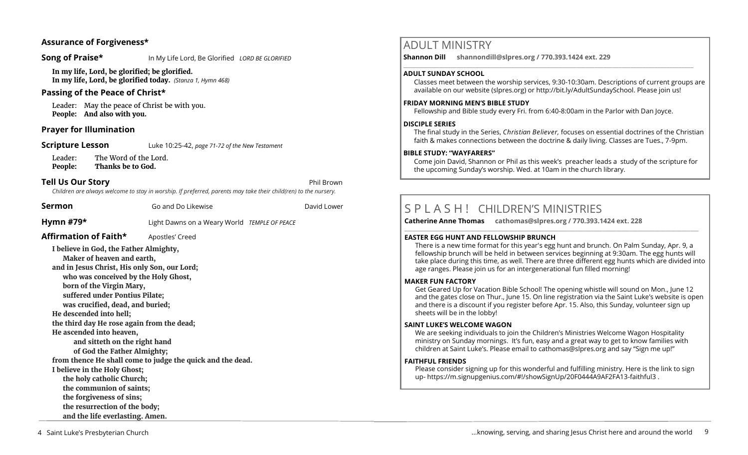# **Assurance of Forgiveness\***

**Song of Praise\*** In My Life Lord, Be Glorified *LORD BE GLORIFIED* 

**In my life, Lord, be glorified; be glorified. In my life, Lord, be glorified today.** *(Stanza 1, Hymn 468)*

# **Passing of the Peace of Christ\***

Leader: May the peace of Christ be with you. **People: And also with you.** 

# **Prayer for Illumination**

**Scripture Lesson** Luke 10:25-42, *page 71-72 of the New Testament* 

Leader: The Word of the Lord. **People: Thanks be to God.**

# **Tell Us Our Story Phil Brown**

*Children are always welcome to stay in worship. If preferred, parents may take their child(ren) to the nursery.*

**Sermon** Go and Do Likewise **Go and Do Likewise Go and Do Likewise David Lower Hymn #79\*** Light Dawns on a Weary World *TEMPLE OF PEACE* **Affirmation of Faith\*** Apostles' Creed **I believe in God, the Father Almighty, Maker of heaven and earth, and in Jesus Christ, His only Son, our Lord; who was conceived by the Holy Ghost, born of the Virgin Mary, suffered under Pontius Pilate; was crucified, dead, and buried; He descended into hell; the third day He rose again from the dead; He ascended into heaven, and sitteth on the right hand of God the Father Almighty;**

**from thence He shall come to judge the quick and the dead.** 

**I believe in the Holy Ghost;**

**the holy catholic Church;**

**the communion of saints;**

**the forgiveness of sins; the resurrection of the body;** 

**and the life everlasting. Amen.** 

# ADULT MINISTRY

**Shannon Dill shannondill@slpres.org / 770.393.1424 ext. 229**   $\_$  ,  $\_$  ,  $\_$  ,  $\_$  ,  $\_$  ,  $\_$  ,  $\_$  ,  $\_$  ,  $\_$  ,  $\_$  ,  $\_$  ,  $\_$  ,  $\_$  ,  $\_$  ,  $\_$  ,  $\_$  ,  $\_$  ,  $\_$  ,  $\_$  ,  $\_$ 

### **ADULT SUNDAY SCHOOL**

Classes meet between the worship services, 9:30-10:30am. Descriptions of current groups are available on our website (slpres.org) or http://bit.ly/AdultSundaySchool. Please join us!

### **FRIDAY MORNING MEN'S BIBLE STUDY**

Fellowship and Bible study every Fri. from 6:40-8:00am in the Parlor with Dan Joyce.

#### **DISCIPLE SERIES**

The final study in the Series, *Christian Believer,* focuses on essential doctrines of the Christian faith & makes connections between the doctrine & daily living. Classes are Tues., 7-9pm.

#### **BIBLE STUDY: "WAYFARERS"**

Come join David, Shannon or Phil as this week's preacher leads a study of the scripture for the upcoming Sunday's worship. Wed. at 10am in the church library.

# S P L A S H ! CHILDREN'S MINISTRIES

**Catherine Anne Thomas cathomas@slpres.org / 770.393.1424 ext. 228 \_\_\_\_\_\_\_\_\_\_\_\_\_\_\_\_\_\_\_\_\_\_\_\_\_\_\_\_\_\_\_\_\_\_\_\_\_\_\_\_\_\_\_\_\_\_\_\_\_\_\_\_\_\_\_\_\_\_\_\_\_\_\_\_\_\_\_\_\_\_\_\_\_\_\_\_\_\_\_\_\_\_\_\_\_\_\_\_\_\_\_\_\_\_\_\_\_\_\_\_\_\_\_\_\_\_\_** 

#### **EASTER EGG HUNT AND FELLOWSHIP BRUNCH**

There is a new time format for this year's egg hunt and brunch. On Palm Sunday, Apr. 9, a fellowship brunch will be held in between services beginning at 9:30am. The egg hunts will take place during this time, as well. There are three different egg hunts which are divided into age ranges. Please join us for an intergenerational fun filled morning!

#### **MAKER FUN FACTORY**

Get Geared Up for Vacation Bible School! The opening whistle will sound on Mon., June 12 and the gates close on Thur., June 15. On line registration via the Saint Luke's website is open and there is a discount if you register before Apr. 15. Also, this Sunday, volunteer sign up sheets will be in the lobby!

#### **SAINT LUKE'S WELCOME WAGON**

We are seeking individuals to join the Children's Ministries Welcome Wagon Hospitality ministry on Sunday mornings. It's fun, easy and a great way to get to know families with children at Saint Luke's. Please email to cathomas@slpres.org and say "Sign me up!"

#### **FAITHFUL FRIENDS**

Please consider signing up for this wonderful and fulfilling ministry. Here is the link to sign up- [https://m.signupgenius.com/#!/showSignUp/20F0444A9AF2FA13](https://m.signupgenius.com/#!/showSignUp/20F0444A9AF2FA13-faithful3)-faithful3 .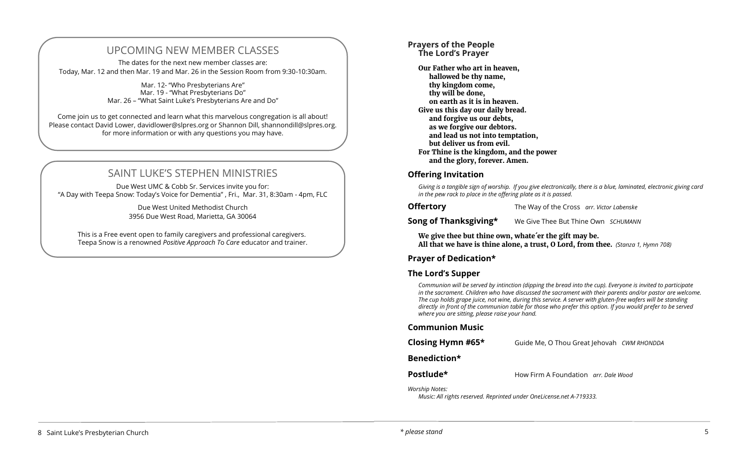# UPCOMING NEW MEMBER CLASSES

The dates for the next new member classes are: Today, Mar. 12 and then Mar. 19 and Mar. 26 in the Session Room from 9:30-10:30am.

> Mar. 12- "Who Presbyterians Are" Mar. 19 - "What Presbyterians Do" Mar. 26 – "What Saint Luke's Presbyterians Are and Do"

Come join us to get connected and learn what this marvelous congregation is all about! Please contact David Lower, davidlower@slpres.org or Shannon Dill, shannondill@slpres.org. for more information or with any questions you may have.

# SAINT LUKE'S STEPHEN MINISTRIES

Due West UMC & Cobb Sr. Services invite you for: "A Day with Teepa Snow: Today's Voice for Dementia" , Fri., Mar. 31, 8:30am - 4pm, FLC

> Due West United Methodist Church 3956 Due West Road, Marietta, GA 30064

This is a Free event open to family caregivers and professional caregivers. Teepa Snow is a renowned *Positive Approach T*o *Care* educator and trainer.

#### **Prayers of the People The Lord's Prayer**

**Our Father who art in heaven, hallowed be thy name, thy kingdom come, thy will be done, on earth as it is in heaven. Give us this day our daily bread. and forgive us our debts, as we forgive our debtors. and lead us not into temptation, but deliver us from evil. For Thine is the kingdom, and the power and the glory, forever. Amen.**

# **Offering Invitation**

*Giving is a tangible sign of worship. If you give electronically, there is a blue, laminated, electronic giving card in the pew rack to place in the offering plate as it is passed.* 

**Offertory** The Way of the Cross *arr. Victor Labenske*

**Song of Thanksgiving\*** We Give Thee But Thine Own *SCHUMANN* 

**We give thee but thine own, whate´er the gift may be. All that we have is thine alone, a trust, O Lord, from thee.** *(Stanza 1, Hymn 708)* 

# **Prayer of Dedication\***

# **The Lord's Supper**

*Communion will be served by intinction (dipping the bread into the cup). Everyone is invited to participate in the sacrament. Children who have discussed the sacrament with their parents and/or pastor are welcome. The cup holds grape juice, not wine, during this service. A server with gluten-free wafers will be standing directly in front of the communion table for those who prefer this option. If you would prefer to be served where you are sitting, please raise your hand.* 

#### **Communion Music**

| Closing Hymn #65* | Guide Me, O Thou Great Jehovah CWM RHONDDA |  |
|-------------------|--------------------------------------------|--|
|-------------------|--------------------------------------------|--|

# **Benediction\***

**Postlude\* How Firm A Foundation** *arr. Dale Wood* 

*Worship Notes:* 

*Music: All rights reserved. Reprinted under OneLicense.net A-719333.*